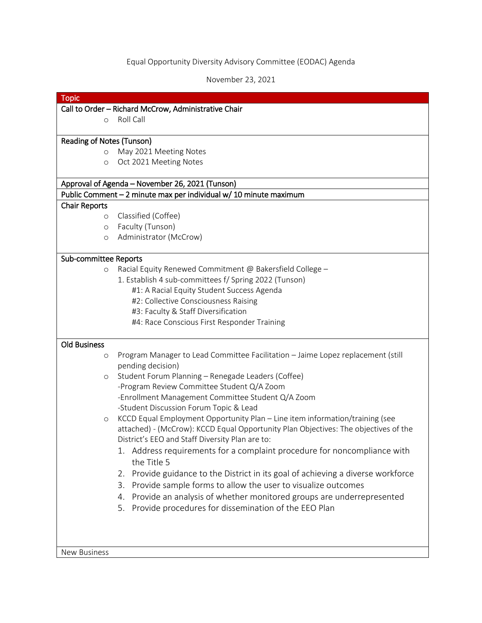## Equal Opportunity Diversity Advisory Committee (EODAC) Agenda

November 23, 2021

|                           | Call to Order - Richard McCrow, Administrative Chair<br>Roll Call                                    |
|---------------------------|------------------------------------------------------------------------------------------------------|
| $\circ$                   |                                                                                                      |
| Reading of Notes (Tunson) |                                                                                                      |
| $\circ$                   | May 2021 Meeting Notes                                                                               |
| $\circ$                   | Oct 2021 Meeting Notes                                                                               |
|                           | Approval of Agenda - November 26, 2021 (Tunson)                                                      |
|                           | Public Comment - 2 minute max per individual w/ 10 minute maximum                                    |
| <b>Chair Reports</b>      |                                                                                                      |
| $\circ$                   | Classified (Coffee)                                                                                  |
| $\circ$                   | Faculty (Tunson)                                                                                     |
| O                         | Administrator (McCrow)                                                                               |
| Sub-committee Reports     |                                                                                                      |
| $\circ$                   | Racial Equity Renewed Commitment @ Bakersfield College -                                             |
|                           | 1. Establish 4 sub-committees f/ Spring 2022 (Tunson)                                                |
|                           | #1: A Racial Equity Student Success Agenda                                                           |
|                           | #2: Collective Consciousness Raising                                                                 |
|                           | #3: Faculty & Staff Diversification                                                                  |
|                           | #4: Race Conscious First Responder Training                                                          |
| <b>Old Business</b>       |                                                                                                      |
| O                         | Program Manager to Lead Committee Facilitation - Jaime Lopez replacement (still<br>pending decision) |
| $\circ$                   | Student Forum Planning - Renegade Leaders (Coffee)                                                   |
|                           | -Program Review Committee Student Q/A Zoom                                                           |
|                           | -Enrollment Management Committee Student Q/A Zoom                                                    |
|                           | -Student Discussion Forum Topic & Lead                                                               |
| $\circ$                   | KCCD Equal Employment Opportunity Plan - Line item information/training (see                         |
|                           | attached) - (McCrow): KCCD Equal Opportunity Plan Objectives: The objectives of the                  |
|                           | District's EEO and Staff Diversity Plan are to:                                                      |
|                           | 1. Address requirements for a complaint procedure for noncompliance with<br>the Title 5              |
|                           | 2. Provide guidance to the District in its goal of achieving a diverse workforce                     |
|                           | Provide sample forms to allow the user to visualize outcomes<br>3.                                   |
|                           | 4. Provide an analysis of whether monitored groups are underrepresented                              |
|                           | Provide procedures for dissemination of the EEO Plan<br>5.                                           |
|                           |                                                                                                      |
|                           |                                                                                                      |